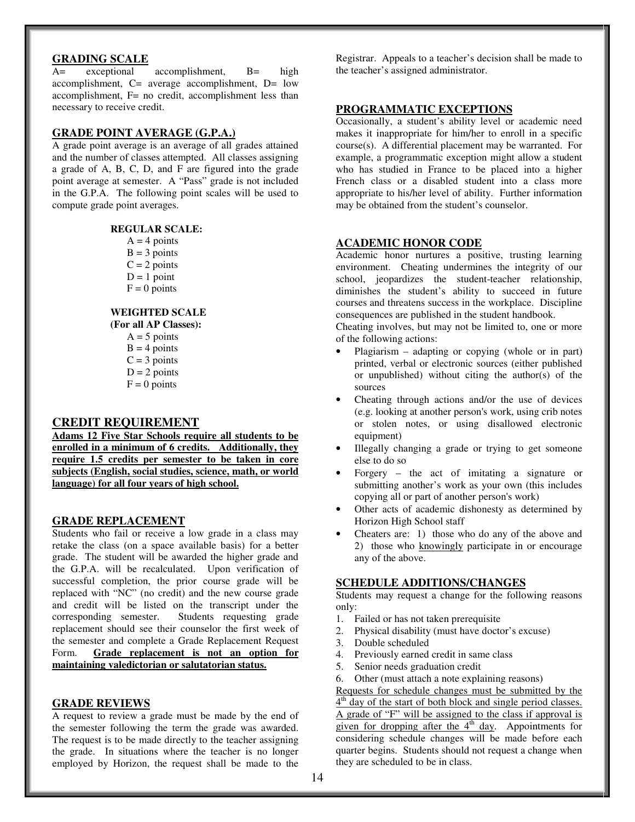# **GRADING SCALE**

A= exceptional accomplishment, B= high accomplishment, C= average accomplishment, D= low accomplishment, F= no credit, accomplishment less than necessary to receive credit.

### **GRADE POINT AVERAGE (G.P.A.)**

A grade point average is an average of all grades attained and the number of classes attempted. All classes assigning a grade of A, B, C, D, and F are figured into the grade point average at semester. A "Pass" grade is not included in the G.P.A. The following point scales will be used to compute grade point averages.

## **REGULAR SCALE:**

- $A = 4$  points  $B = 3$  points  $C = 2$  points
- $D = 1$  point
- $F = 0$  points

# **WEIGHTED SCALE**

 **(For all AP Classes):**   $A = 5$  points  $B = 4$  points  $C = 3$  points  $D = 2$  points  $F = 0$  points

# **CREDIT REQUIREMENT**

**Adams 12 Five Star Schools require all students to be enrolled in a minimum of 6 credits. Additionally, they require 1.5 credits per semester to be taken in core subjects (English, social studies, science, math, or world language) for all four years of high school.** 

#### **GRADE REPLACEMENT**

Students who fail or receive a low grade in a class may retake the class (on a space available basis) for a better grade. The student will be awarded the higher grade and the G.P.A. will be recalculated. Upon verification of successful completion, the prior course grade will be replaced with "NC" (no credit) and the new course grade and credit will be listed on the transcript under the corresponding semester. Students requesting grade replacement should see their counselor the first week of the semester and complete a Grade Replacement Request Form. **Grade replacement is not an option for maintaining valedictorian or salutatorian status.**

#### **GRADE REVIEWS**

A request to review a grade must be made by the end of the semester following the term the grade was awarded. The request is to be made directly to the teacher assigning the grade. In situations where the teacher is no longer employed by Horizon, the request shall be made to the

Registrar. Appeals to a teacher's decision shall be made to the teacher's assigned administrator.

#### **PROGRAMMATIC EXCEPTIONS**

Occasionally, a student's ability level or academic need makes it inappropriate for him/her to enroll in a specific course(s). A differential placement may be warranted. For example, a programmatic exception might allow a student who has studied in France to be placed into a higher French class or a disabled student into a class more appropriate to his/her level of ability. Further information may be obtained from the student's counselor.

#### **ACADEMIC HONOR CODE**

Academic honor nurtures a positive, trusting learning environment. Cheating undermines the integrity of our school, jeopardizes the student-teacher relationship, diminishes the student's ability to succeed in future courses and threatens success in the workplace. Discipline consequences are published in the student handbook.

Cheating involves, but may not be limited to, one or more of the following actions:

- Plagiarism adapting or copying (whole or in part) printed, verbal or electronic sources (either published or unpublished) without citing the author(s) of the sources
- Cheating through actions and/or the use of devices (e.g. looking at another person's work, using crib notes or stolen notes, or using disallowed electronic equipment)
- Illegally changing a grade or trying to get someone else to do so
- Forgery the act of imitating a signature or submitting another's work as your own (this includes copying all or part of another person's work)
- Other acts of academic dishonesty as determined by Horizon High School staff
- Cheaters are: 1) those who do any of the above and 2) those who knowingly participate in or encourage any of the above.

## **SCHEDULE ADDITIONS/CHANGES**

Students may request a change for the following reasons only:

- 1. Failed or has not taken prerequisite
- 2. Physical disability (must have doctor's excuse)
- 3. Double scheduled
- 4. Previously earned credit in same class
- 5. Senior needs graduation credit
- 6. Other (must attach a note explaining reasons)

Requests for schedule changes must be submitted by the

 $4<sup>th</sup>$  day of the start of both block and single period classes. A grade of "F" will be assigned to the class if approval is given for dropping after the  $4<sup>th</sup>$  day. Appointments for considering schedule changes will be made before each quarter begins. Students should not request a change when they are scheduled to be in class.